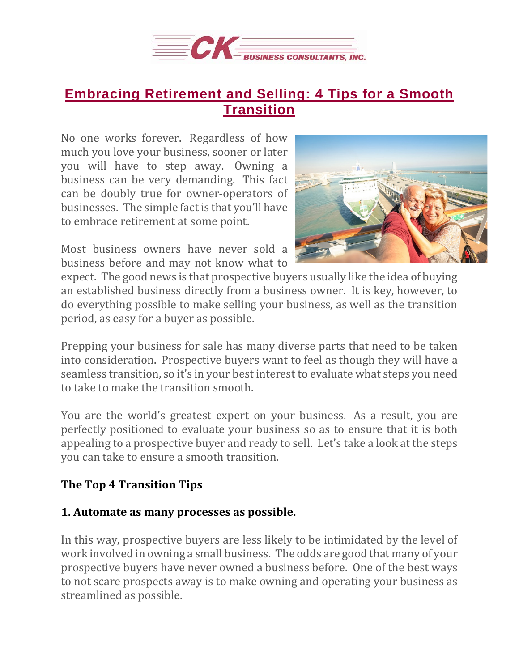

# **Embracing [Retirement](https://deal-studio.com/embracing-retirement-and-selling-4-tips-for-a-smooth-transition/) and Selling: 4 Tips for a Smooth [Transition](https://deal-studio.com/embracing-retirement-and-selling-4-tips-for-a-smooth-transition/)**

No one works forever. Regardless of how much you love your business, sooner or later you will have to step away. Owning a business can be very demanding. This fact can be doubly true for owner-operators of businesses. The simple fact is that you'll have to embrace retirement at some point.

Most business owners have never sold a business before and may not know what to



expect. The good news is that prospective buyers usually like the idea of buying an established business directly from a business owner. It is key, however, to do everything possible to make selling your business, as well as the transition period, as easy for a buyer as possible.

Prepping your business for sale has many diverse parts that need to be taken into consideration. Prospective buyers want to feel as though they will have a seamless transition, so it's in your best interest to evaluate what steps you need to take to make the transition smooth.

You are the world's greatest expert on your business. As a result, you are perfectly positioned to evaluate your business so as to ensure that it is both appealing to a prospective buyer and ready to sell. Let's take a look at the steps you can take to ensure a smooth transition.

# **The Top 4 Transition Tips**

# **1. Automate as many processes as possible.**

In this way, prospective buyers are less likely to be intimidated by the level of work involved in owning a small business. The odds are good that many of your prospective buyers have never owned a business before. One of the best ways to not scare prospects away is to make owning and operating your business as streamlined as possible.